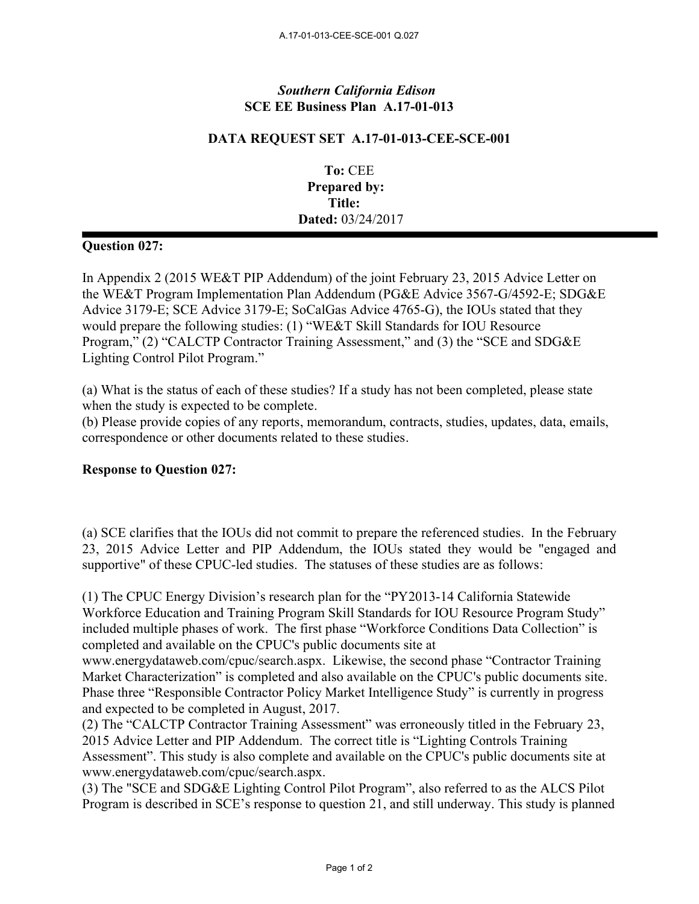## *Southern California Edison* **SCE EE Business Plan A.17-01-013**

## **DATA REQUEST SET A.17-01-013-CEE-SCE-001**

**To:** CEE **Prepared by: Title: Dated:** 03/24/2017

## **Question 027:**

In Appendix 2 (2015 WE&T PIP Addendum) of the joint February 23, 2015 Advice Letter on the WE&T Program Implementation Plan Addendum (PG&E Advice 3567-G/4592-E; SDG&E Advice 3179-E; SCE Advice 3179-E; SoCalGas Advice 4765-G), the IOUs stated that they would prepare the following studies: (1) "WE&T Skill Standards for IOU Resource Program," (2) "CALCTP Contractor Training Assessment," and (3) the "SCE and SDG&E Lighting Control Pilot Program."

(a) What is the status of each of these studies? If a study has not been completed, please state when the study is expected to be complete.

(b) Please provide copies of any reports, memorandum, contracts, studies, updates, data, emails, correspondence or other documents related to these studies.

## **Response to Question 027:**

(a) SCE clarifies that the IOUs did not commit to prepare the referenced studies. In the February 23, 2015 Advice Letter and PIP Addendum, the IOUs stated they would be "engaged and supportive" of these CPUC-led studies. The statuses of these studies are as follows:

(1) The CPUC Energy Division's research plan for the "PY2013-14 California Statewide Workforce Education and Training Program Skill Standards for IOU Resource Program Study" included multiple phases of work. The first phase "Workforce Conditions Data Collection" is completed and available on the CPUC's public documents site at

www.energydataweb.com/cpuc/search.aspx. Likewise, the second phase "Contractor Training Market Characterization" is completed and also available on the CPUC's public documents site. Phase three "Responsible Contractor Policy Market Intelligence Study" is currently in progress and expected to be completed in August, 2017.

(2) The "CALCTP Contractor Training Assessment" was erroneously titled in the February 23, 2015 Advice Letter and PIP Addendum. The correct title is "Lighting Controls Training Assessment". This study is also complete and available on the CPUC's public documents site at www.energydataweb.com/cpuc/search.aspx.

(3) The "SCE and SDG&E Lighting Control Pilot Program", also referred to as the ALCS Pilot Program is described in SCE's response to question 21, and still underway. This study is planned